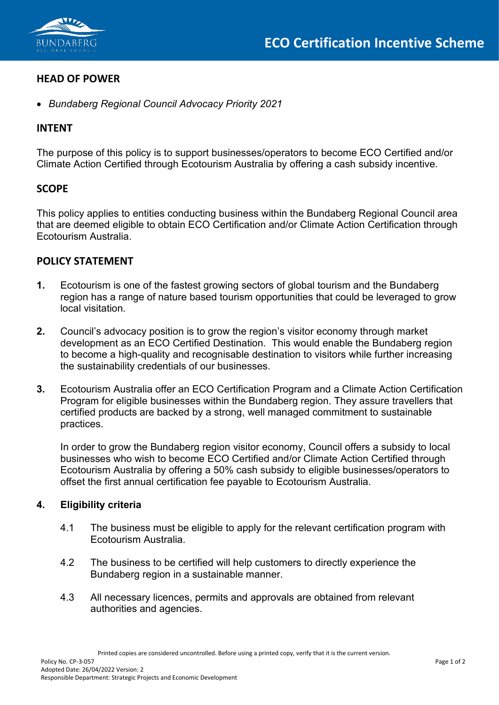

# **HEAD OF POWER**

• *Bundaberg Regional Council Advocacy Priority 2021*

# **INTENT**

The purpose of this policy is to support businesses/operators to become ECO Certified and/or Climate Action Certified through Ecotourism Australia by offering a cash subsidy incentive.

## **SCOPE**

This policy applies to entities conducting business within the Bundaberg Regional Council area that are deemed eligible to obtain ECO Certification and/or Climate Action Certification through Ecotourism Australia.

## **POLICY STATEMENT**

- **1.** Ecotourism is one of the fastest growing sectors of global tourism and the Bundaberg region has a range of nature based tourism opportunities that could be leveraged to grow local visitation.
- **2.** Council's advocacy position is to grow the region's visitor economy through market development as an ECO Certified Destination. This would enable the Bundaberg region to become a high-quality and recognisable destination to visitors while further increasing the sustainability credentials of our businesses.
- **3.** Ecotourism Australia offer an ECO Certification Program and a Climate Action Certification Program for eligible businesses within the Bundaberg region. They assure travellers that certified products are backed by a strong, well managed commitment to sustainable practices.

In order to grow the Bundaberg region visitor economy, Council offers a subsidy to local businesses who wish to become ECO Certified and/or Climate Action Certified through Ecotourism Australia by offering a 50% cash subsidy to eligible businesses/operators to offset the first annual certification fee payable to Ecotourism Australia.

#### **4. Eligibility criteria**

- 4.1 The business must be eligible to apply for the relevant certification program with Ecotourism Australia.
- 4.2 The business to be certified will help customers to directly experience the Bundaberg region in a sustainable manner.
- 4.3 All necessary licences, permits and approvals are obtained from relevant authorities and agencies.

Printed copies are considered uncontrolled. Before using a printed copy, verify that it is the current version.